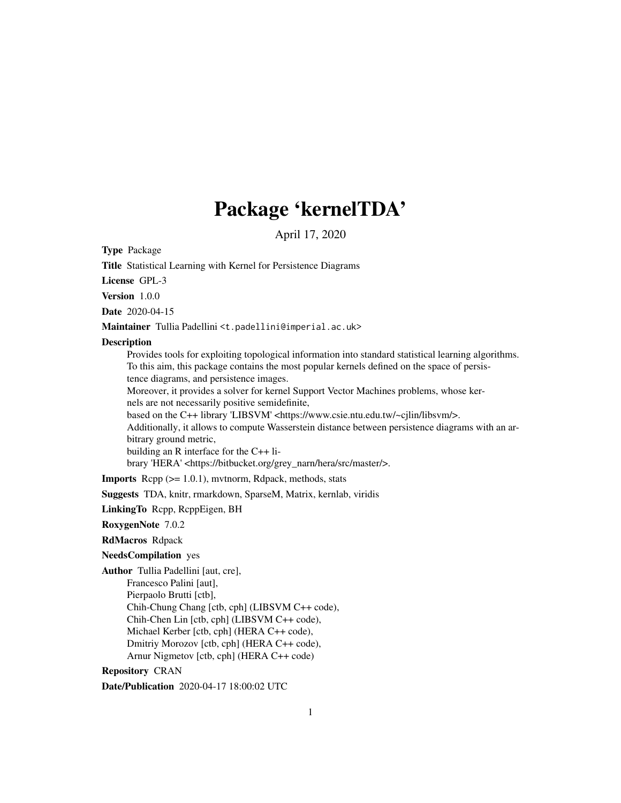# Package 'kernelTDA'

April 17, 2020

Type Package

Repository CRAN

Title Statistical Learning with Kernel for Persistence Diagrams License GPL-3 Version 1.0.0 Date 2020-04-15 Maintainer Tullia Padellini <t.padellini@imperial.ac.uk> **Description** Provides tools for exploiting topological information into standard statistical learning algorithms. To this aim, this package contains the most popular kernels defined on the space of persistence diagrams, and persistence images. Moreover, it provides a solver for kernel Support Vector Machines problems, whose kernels are not necessarily positive semidefinite, based on the C++ library 'LIBSVM' <https://www.csie.ntu.edu.tw/~cjlin/libsvm/>. Additionally, it allows to compute Wasserstein distance between persistence diagrams with an arbitrary ground metric, building an R interface for the C++ library 'HERA' <https://bitbucket.org/grey\_narn/hera/src/master/>. Imports Rcpp (>= 1.0.1), mvtnorm, Rdpack, methods, stats Suggests TDA, knitr, rmarkdown, SparseM, Matrix, kernlab, viridis LinkingTo Rcpp, RcppEigen, BH RoxygenNote 7.0.2 RdMacros Rdpack NeedsCompilation yes Author Tullia Padellini [aut, cre], Francesco Palini [aut], Pierpaolo Brutti [ctb],

1

Chih-Chung Chang [ctb, cph] (LIBSVM C++ code), Chih-Chen Lin [ctb, cph] (LIBSVM C++ code), Michael Kerber [ctb, cph] (HERA C++ code), Dmitriy Morozov [ctb, cph] (HERA C++ code), Arnur Nigmetov [ctb, cph] (HERA C++ code)

Date/Publication 2020-04-17 18:00:02 UTC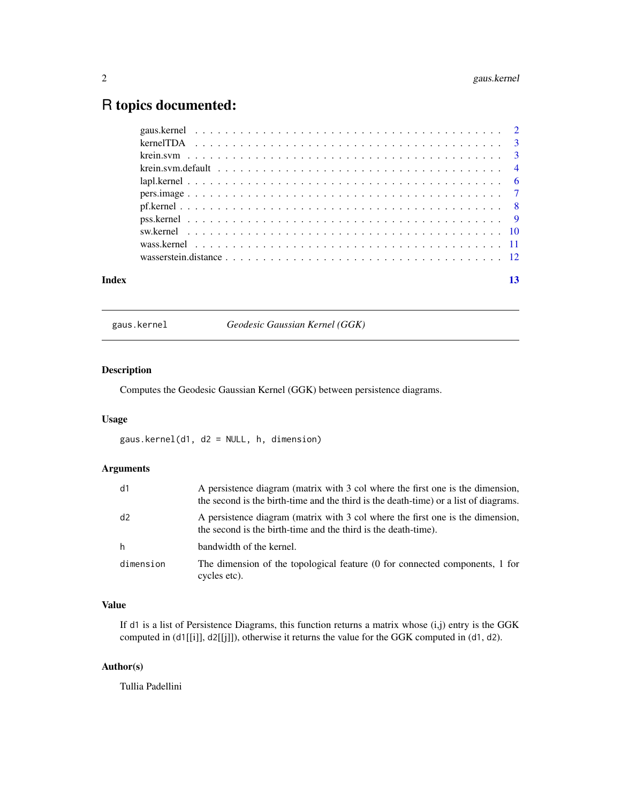## <span id="page-1-0"></span>R topics documented:

| Index |  |  | 13 |
|-------|--|--|----|

gaus.kernel *Geodesic Gaussian Kernel (GGK)*

#### Description

Computes the Geodesic Gaussian Kernel (GGK) between persistence diagrams.

#### Usage

gaus.kernel(d1, d2 = NULL, h, dimension)

#### Arguments

| d1        | A persistence diagram (matrix with 3 col where the first one is the dimension,<br>the second is the birth-time and the third is the death-time) or a list of diagrams. |
|-----------|------------------------------------------------------------------------------------------------------------------------------------------------------------------------|
| d2        | A persistence diagram (matrix with 3 col where the first one is the dimension,<br>the second is the birth-time and the third is the death-time).                       |
| h         | bandwidth of the kernel.                                                                                                                                               |
| dimension | The dimension of the topological feature (0 for connected components, 1 for<br>cycles etc).                                                                            |

#### Value

If d1 is a list of Persistence Diagrams, this function returns a matrix whose (i,j) entry is the GGK computed in (d1[[i]], d2[[j]]), otherwise it returns the value for the GGK computed in (d1, d2).

#### Author(s)

Tullia Padellini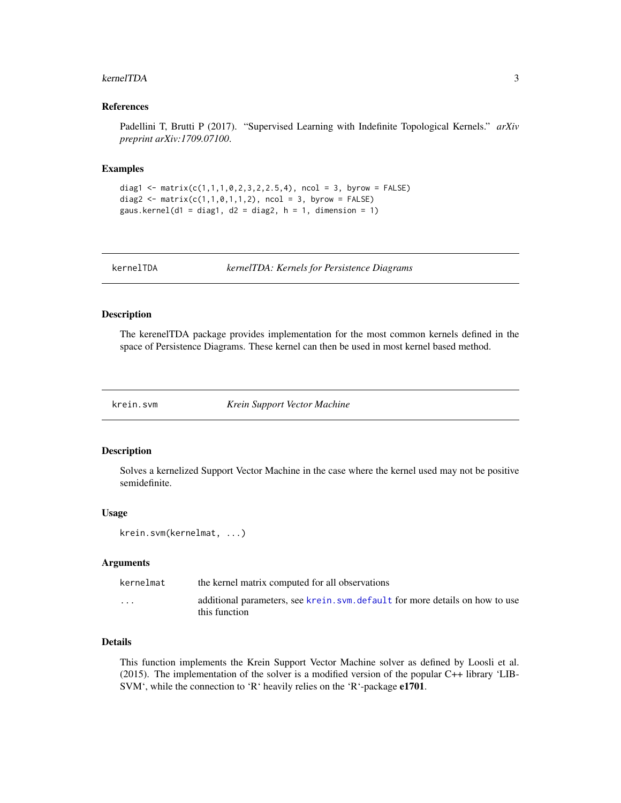#### <span id="page-2-0"></span>kernelTDA 3

#### References

Padellini T, Brutti P (2017). "Supervised Learning with Indefinite Topological Kernels." *arXiv preprint arXiv:1709.07100*.

#### Examples

```
diag1 <- matrix(c(1,1,1,0,2,3,2,2.5,4), ncol = 3, byrow = FALSE)
diag2 <- matrix(c(1,1,0,1,1,2), ncol = 3, byrow = FALSE)
gaus.kernel(d1 = diag1, d2 = diag2, h = 1, dimension = 1)
```
kernelTDA *kernelTDA: Kernels for Persistence Diagrams*

#### Description

The kerenelTDA package provides implementation for the most common kernels defined in the space of Persistence Diagrams. These kernel can then be used in most kernel based method.

krein.svm *Krein Support Vector Machine*

#### Description

Solves a kernelized Support Vector Machine in the case where the kernel used may not be positive semidefinite.

#### Usage

```
krein.svm(kernelmat, ...)
```
#### Arguments

| kernelmat | the kernel matrix computed for all observations                                                |
|-----------|------------------------------------------------------------------------------------------------|
| $\cdots$  | additional parameters, see krein. svm. default for more details on how to use<br>this function |
|           |                                                                                                |

#### Details

This function implements the Krein Support Vector Machine solver as defined by Loosli et al. (2015). The implementation of the solver is a modified version of the popular C++ library 'LIB-SVM', while the connection to 'R' heavily relies on the 'R'-package e1701.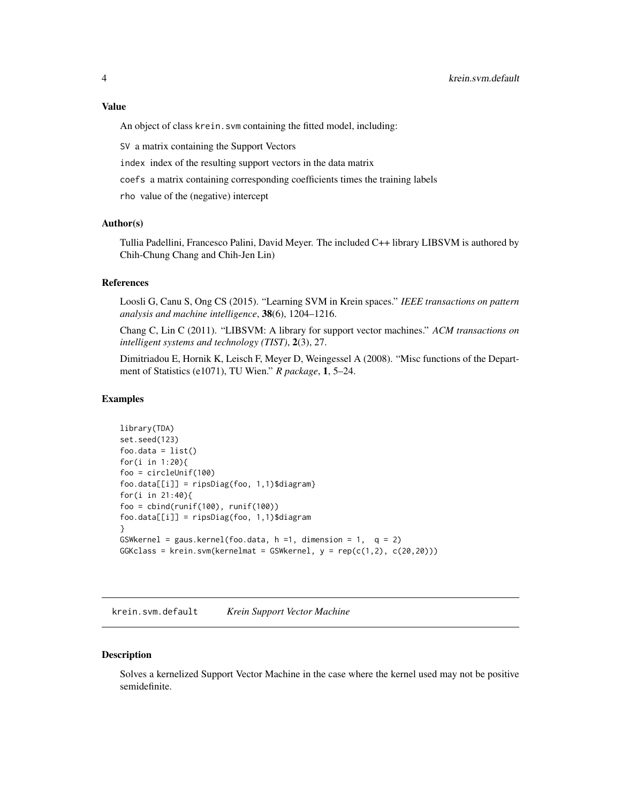#### <span id="page-3-0"></span>Value

An object of class krein. svm containing the fitted model, including:

SV a matrix containing the Support Vectors

index index of the resulting support vectors in the data matrix

coefs a matrix containing corresponding coefficients times the training labels

rho value of the (negative) intercept

### Author(s)

Tullia Padellini, Francesco Palini, David Meyer. The included C++ library LIBSVM is authored by Chih-Chung Chang and Chih-Jen Lin)

#### References

Loosli G, Canu S, Ong CS (2015). "Learning SVM in Krein spaces." *IEEE transactions on pattern analysis and machine intelligence*, 38(6), 1204–1216.

Chang C, Lin C (2011). "LIBSVM: A library for support vector machines." *ACM transactions on intelligent systems and technology (TIST)*, 2(3), 27.

Dimitriadou E, Hornik K, Leisch F, Meyer D, Weingessel A (2008). "Misc functions of the Department of Statistics (e1071), TU Wien." *R package*, 1, 5–24.

#### Examples

```
library(TDA)
set.seed(123)
foo.data = list()for(i in 1:20){
foo = circleUnif(100)
foo.data[[i]] = ripsDiag(foo, 1,1)$diagram}
for(i in 21:40){
foo = cbind(runif(100), runif(100))
foo.data[[i]] = ripsDiag(foo, 1,1)$diagram
}
GSWkernel = gaus.kernel(foo.data, h = 1, dimension = 1, q = 2)
GGKclass = krein.svm(kernelmat = GSWkernel, y = rep(c(1,2), c(20,20)))
```
<span id="page-3-1"></span>krein.svm.default *Krein Support Vector Machine*

#### **Description**

Solves a kernelized Support Vector Machine in the case where the kernel used may not be positive semidefinite.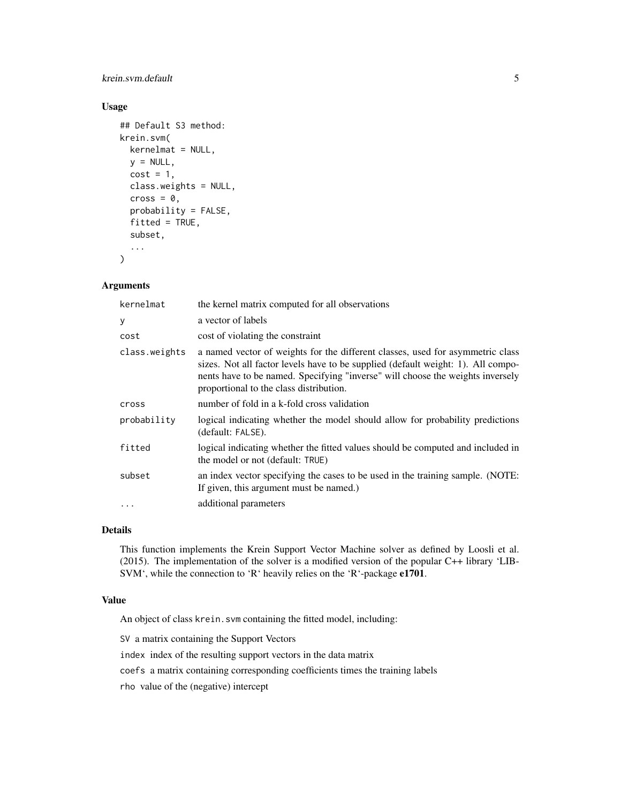krein.svm.default 5

#### Usage

```
## Default S3 method:
krein.svm(
 kernelmat = NULL,
 y = NULL,cost = 1,
  class.weights = NULL,
  cross = \theta,
  probability = FALSE,
  fitted = TRUE,subset,
  ...
)
```
#### Arguments

| kernelmat     | the kernel matrix computed for all observations                                                                                                                                                                                                                                                 |
|---------------|-------------------------------------------------------------------------------------------------------------------------------------------------------------------------------------------------------------------------------------------------------------------------------------------------|
| у             | a vector of labels                                                                                                                                                                                                                                                                              |
| cost          | cost of violating the constraint                                                                                                                                                                                                                                                                |
| class.weights | a named vector of weights for the different classes, used for asymmetric class<br>sizes. Not all factor levels have to be supplied (default weight: 1). All compo-<br>nents have to be named. Specifying "inverse" will choose the weights inversely<br>proportional to the class distribution. |
| cross         | number of fold in a k-fold cross validation                                                                                                                                                                                                                                                     |
| probability   | logical indicating whether the model should allow for probability predictions<br>(default: FALSE).                                                                                                                                                                                              |
| fitted        | logical indicating whether the fitted values should be computed and included in<br>the model or not (default: TRUE)                                                                                                                                                                             |
| subset        | an index vector specifying the cases to be used in the training sample. (NOTE:<br>If given, this argument must be named.)                                                                                                                                                                       |
| $\cdots$      | additional parameters                                                                                                                                                                                                                                                                           |

#### Details

This function implements the Krein Support Vector Machine solver as defined by Loosli et al. (2015). The implementation of the solver is a modified version of the popular C++ library 'LIB-SVM', while the connection to 'R' heavily relies on the 'R'-package e1701.

#### Value

An object of class krein. svm containing the fitted model, including:

SV a matrix containing the Support Vectors

index index of the resulting support vectors in the data matrix

coefs a matrix containing corresponding coefficients times the training labels

rho value of the (negative) intercept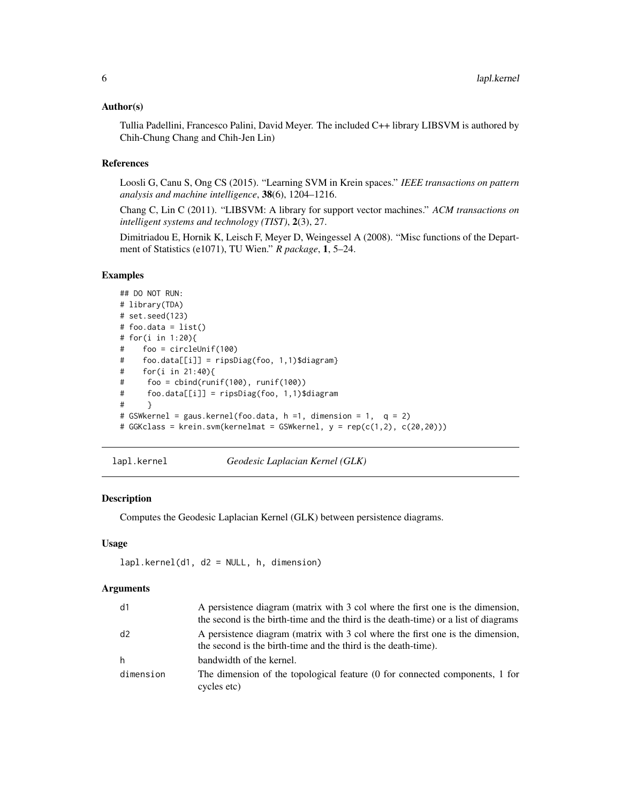#### <span id="page-5-0"></span>Author(s)

Tullia Padellini, Francesco Palini, David Meyer. The included C++ library LIBSVM is authored by Chih-Chung Chang and Chih-Jen Lin)

#### References

Loosli G, Canu S, Ong CS (2015). "Learning SVM in Krein spaces." *IEEE transactions on pattern analysis and machine intelligence*, 38(6), 1204–1216.

Chang C, Lin C (2011). "LIBSVM: A library for support vector machines." *ACM transactions on intelligent systems and technology (TIST)*, 2(3), 27.

Dimitriadou E, Hornik K, Leisch F, Meyer D, Weingessel A (2008). "Misc functions of the Department of Statistics (e1071), TU Wien." *R package*, 1, 5–24.

#### Examples

```
## DO NOT RUN:
# library(TDA)
# set.seed(123)
# foo.data = list()# for(i in 1:20){
# foo = circleUnif(100)
# foo.data[[i]] = ripsDiag(foo, 1,1)$diagram}
# for(i in 21:40){
# foo = cbind(runif(100), runif(100))
# foo.data[[i]] = ripsDiag(foo, 1,1)$diagram
# }
# GSWkernel = gaus.kernel(foo.data, h =1, dimension = 1, q = 2)
# GGKclass = krein.svm(kernelmat = GSWkernel, y = rep(c(1,2), c(20,20)))
```
lapl.kernel *Geodesic Laplacian Kernel (GLK)*

#### Description

Computes the Geodesic Laplacian Kernel (GLK) between persistence diagrams.

#### Usage

```
lapl.kernel(d1, d2 = NULL, h, dimension)
```
#### **Arguments**

| d1        | A persistence diagram (matrix with 3 col where the first one is the dimension,                                                                   |
|-----------|--------------------------------------------------------------------------------------------------------------------------------------------------|
|           | the second is the birth-time and the third is the death-time) or a list of diagrams                                                              |
| d2        | A persistence diagram (matrix with 3 col where the first one is the dimension,<br>the second is the birth-time and the third is the death-time). |
| h         | bandwidth of the kernel.                                                                                                                         |
| dimension | The dimension of the topological feature (0 for connected components, 1 for<br>cycles etc)                                                       |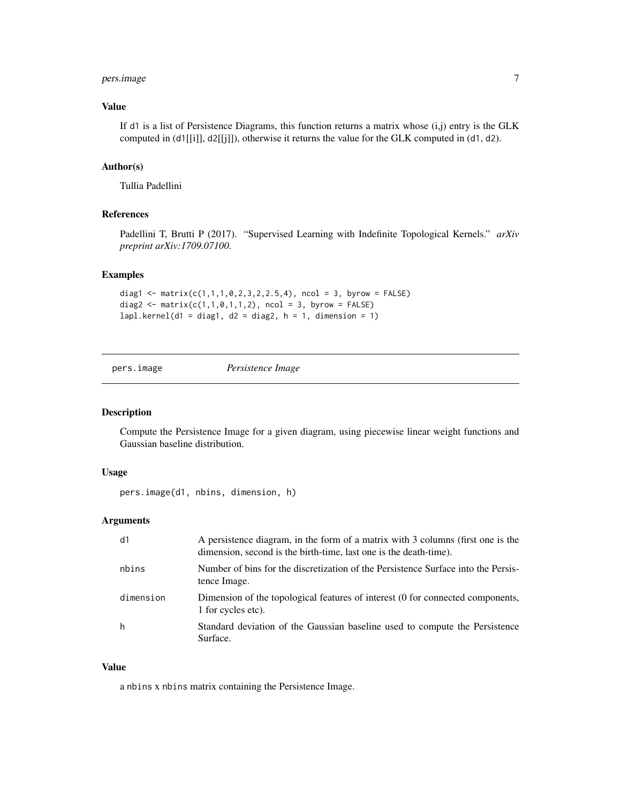#### <span id="page-6-0"></span>pers.image 7

#### Value

If d1 is a list of Persistence Diagrams, this function returns a matrix whose (i,j) entry is the GLK computed in (d1[[i]], d2[[j]]), otherwise it returns the value for the GLK computed in (d1, d2).

#### Author(s)

Tullia Padellini

#### References

Padellini T, Brutti P (2017). "Supervised Learning with Indefinite Topological Kernels." *arXiv preprint arXiv:1709.07100*.

#### Examples

```
diag1 <- matrix(c(1,1,1,0,2,3,2,2.5,4), ncol = 3, byrow = FALSE)
diag2 <- matrix(c(1,1,0,1,1,2), ncol = 3, byrow = FALSE)lapl.kernel(d1 = diag1, d2 = diag2, h = 1, dimension = 1)
```

```
pers.image Persistence Image
```
#### Description

Compute the Persistence Image for a given diagram, using piecewise linear weight functions and Gaussian baseline distribution.

### Usage

pers.image(d1, nbins, dimension, h)

#### Arguments

| d1        | A persistence diagram, in the form of a matrix with 3 columns (first one is the<br>dimension, second is the birth-time, last one is the death-time). |
|-----------|------------------------------------------------------------------------------------------------------------------------------------------------------|
| nbins     | Number of bins for the discretization of the Persistence Surface into the Persis-<br>tence Image.                                                    |
| dimension | Dimension of the topological features of interest (0 for connected components,<br>1 for cycles etc).                                                 |
| h         | Standard deviation of the Gaussian baseline used to compute the Persistence<br>Surface.                                                              |

#### Value

a nbins x nbins matrix containing the Persistence Image.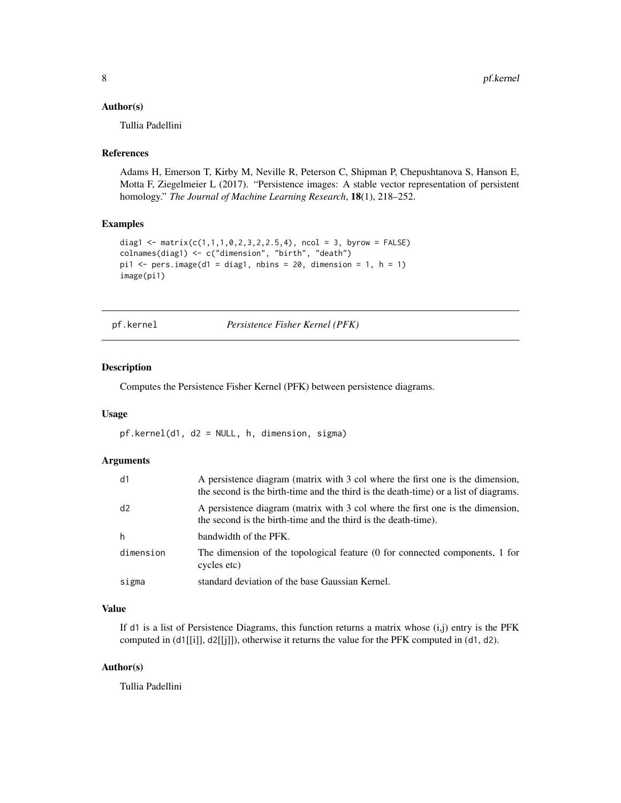#### <span id="page-7-0"></span>Author(s)

Tullia Padellini

#### References

Adams H, Emerson T, Kirby M, Neville R, Peterson C, Shipman P, Chepushtanova S, Hanson E, Motta F, Ziegelmeier L (2017). "Persistence images: A stable vector representation of persistent homology." *The Journal of Machine Learning Research*, 18(1), 218–252.

#### Examples

```
diag1 <- matrix(c(1,1,1,0,2,3,2,2.5,4), ncol = 3, byrow = FALSE)
colnames(diag1) <- c("dimension", "birth", "death")
pi1 \le pers.image(d1 = diag1, nbins = 20, dimension = 1, h = 1)
image(pi1)
```
pf.kernel *Persistence Fisher Kernel (PFK)*

#### Description

Computes the Persistence Fisher Kernel (PFK) between persistence diagrams.

#### Usage

pf.kernel(d1, d2 = NULL, h, dimension, sigma)

#### Arguments

| d1        | A persistence diagram (matrix with 3 col where the first one is the dimension,<br>the second is the birth-time and the third is the death-time) or a list of diagrams. |
|-----------|------------------------------------------------------------------------------------------------------------------------------------------------------------------------|
| d2        | A persistence diagram (matrix with 3 col where the first one is the dimension,<br>the second is the birth-time and the third is the death-time).                       |
| h         | bandwidth of the PFK.                                                                                                                                                  |
| dimension | The dimension of the topological feature (0 for connected components, 1 for<br>cycles etc)                                                                             |
| sigma     | standard deviation of the base Gaussian Kernel.                                                                                                                        |

#### Value

If d1 is a list of Persistence Diagrams, this function returns a matrix whose (i,j) entry is the PFK computed in (d1[[i]], d2[[j]]), otherwise it returns the value for the PFK computed in (d1, d2).

#### Author(s)

Tullia Padellini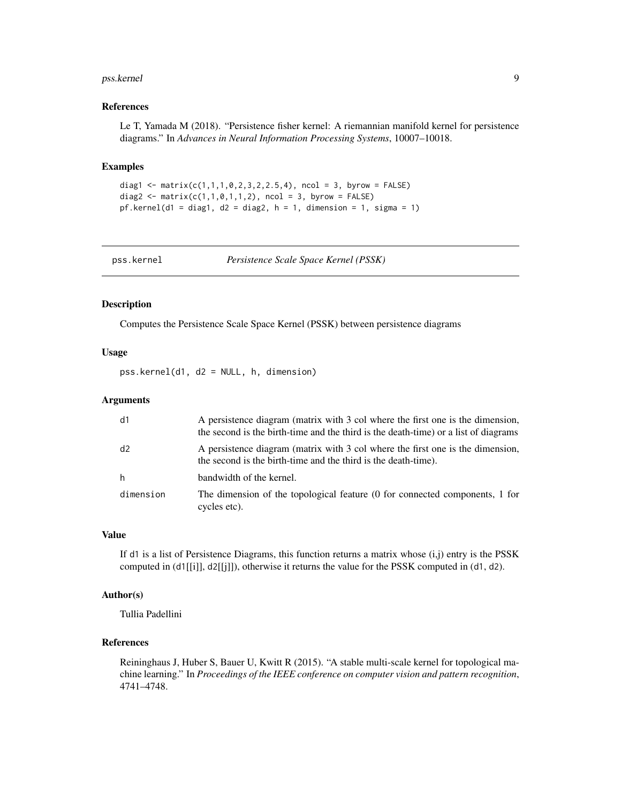#### <span id="page-8-0"></span>pss.kernel 9

#### References

Le T, Yamada M (2018). "Persistence fisher kernel: A riemannian manifold kernel for persistence diagrams." In *Advances in Neural Information Processing Systems*, 10007–10018.

#### Examples

```
diag1 <- matrix(c(1,1,1,0,2,3,2,2.5,4), ncol = 3, byrow = FALSE)
diag2 <- matrix(c(1,1,0,1,1,2)), ncol = 3, byrow = FALSE)
pf.kernel(d1 = diag1, d2 = diag2, h = 1, dimension = 1, sigma = 1)
```
pss.kernel *Persistence Scale Space Kernel (PSSK)*

#### Description

Computes the Persistence Scale Space Kernel (PSSK) between persistence diagrams

#### Usage

pss.kernel(d1, d2 = NULL, h, dimension)

#### Arguments

| d1        | A persistence diagram (matrix with 3 col where the first one is the dimension,<br>the second is the birth-time and the third is the death-time) or a list of diagrams |
|-----------|-----------------------------------------------------------------------------------------------------------------------------------------------------------------------|
| d2        | A persistence diagram (matrix with 3 col where the first one is the dimension,<br>the second is the birth-time and the third is the death-time).                      |
| h         | bandwidth of the kernel.                                                                                                                                              |
| dimension | The dimension of the topological feature (0 for connected components, 1 for<br>cycles etc).                                                                           |

#### Value

If d1 is a list of Persistence Diagrams, this function returns a matrix whose  $(i,j)$  entry is the PSSK computed in  $(d1[[i]], d2[[i]])$ , otherwise it returns the value for the PSSK computed in  $(d1, d2)$ .

#### Author(s)

Tullia Padellini

#### References

Reininghaus J, Huber S, Bauer U, Kwitt R (2015). "A stable multi-scale kernel for topological machine learning." In *Proceedings of the IEEE conference on computer vision and pattern recognition*, 4741–4748.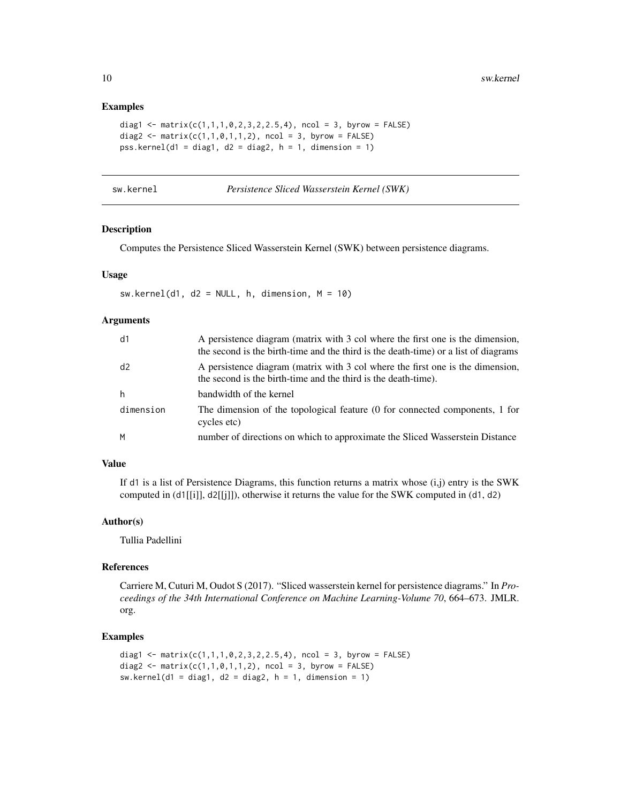#### Examples

```
diag1 <- matrix(c(1,1,1,0,2,3,2,2.5,4), ncol = 3, byrow = FALSE)
diag2 <- matrix(c(1,1,0,1,1,2)), ncol = 3, byrow = FALSE)
pss.kernel(d1 = diag1, d2 = diag2, h = 1, dimension = 1)
```
Persistence Sliced Wasserstein Kernel (SWK)

#### Description

Computes the Persistence Sliced Wasserstein Kernel (SWK) between persistence diagrams.

#### Usage

 $sw.kernel(d1, d2 = NULL, h, dimension, M = 10)$ 

#### Arguments

| d1        | A persistence diagram (matrix with 3 col where the first one is the dimension,<br>the second is the birth-time and the third is the death-time) or a list of diagrams |
|-----------|-----------------------------------------------------------------------------------------------------------------------------------------------------------------------|
| d2        | A persistence diagram (matrix with 3 col where the first one is the dimension,<br>the second is the birth-time and the third is the death-time).                      |
| h         | bandwidth of the kernel                                                                                                                                               |
| dimension | The dimension of the topological feature (0 for connected components, 1 for<br>cycles etc)                                                                            |
| M         | number of directions on which to approximate the Sliced Wasserstein Distance                                                                                          |

#### Value

If d1 is a list of Persistence Diagrams, this function returns a matrix whose  $(i,j)$  entry is the SWK computed in  $(d1[[i]], d2[[i]])$ , otherwise it returns the value for the SWK computed in  $(d1, d2)$ 

#### Author(s)

Tullia Padellini

#### References

Carriere M, Cuturi M, Oudot S (2017). "Sliced wasserstein kernel for persistence diagrams." In *Proceedings of the 34th International Conference on Machine Learning-Volume 70*, 664–673. JMLR. org.

#### Examples

```
diag1 <- matrix(c(1,1,1,0,2,3,2,2.5,4), ncol = 3, byrow = FALSE)
diag2 <- matrix(c(1,1,0,1,1,2)), ncol = 3, byrow = FALSE)
sw.kernel(d1 = diag1, d2 = diag2, h = 1, dimension = 1)
```
<span id="page-9-0"></span>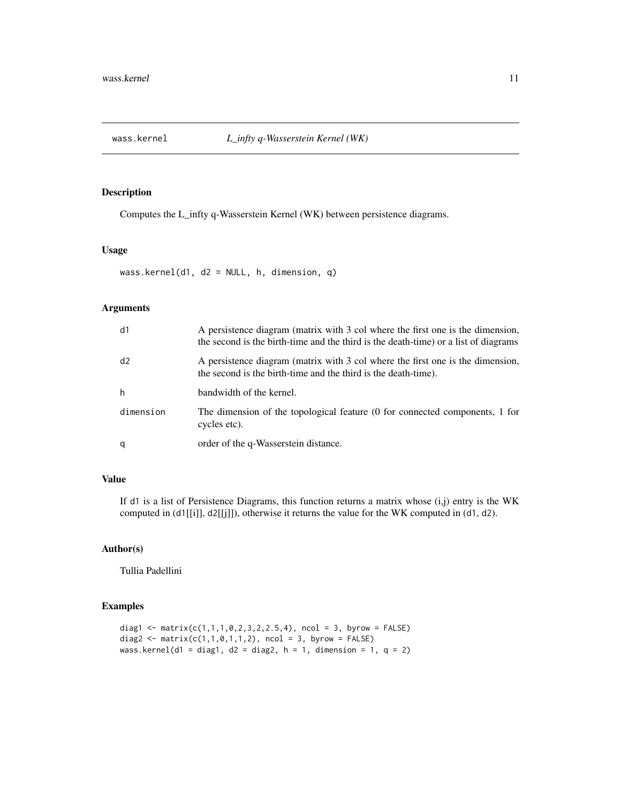<span id="page-10-0"></span>

#### Description

Computes the L\_infty q-Wasserstein Kernel (WK) between persistence diagrams.

#### Usage

```
wass.kernel(d1, d2 = NULL, h, dimension, q)
```
#### Arguments

| d1        | A persistence diagram (matrix with 3 col where the first one is the dimension,<br>the second is the birth-time and the third is the death-time) or a list of diagrams |
|-----------|-----------------------------------------------------------------------------------------------------------------------------------------------------------------------|
| d2        | A persistence diagram (matrix with 3 col where the first one is the dimension,<br>the second is the birth-time and the third is the death-time).                      |
| h         | bandwidth of the kernel.                                                                                                                                              |
| dimension | The dimension of the topological feature (0 for connected components, 1 for<br>cycles etc).                                                                           |
| q         | order of the q-Wasserstein distance.                                                                                                                                  |

#### Value

If d1 is a list of Persistence Diagrams, this function returns a matrix whose  $(i,j)$  entry is the WK computed in (d1[[i]], d2[[j]]), otherwise it returns the value for the WK computed in (d1, d2).

#### Author(s)

Tullia Padellini

#### Examples

```
diag1 <- matrix(c(1,1,1,0,2,3,2,2.5,4), ncol = 3, byrow = FALSE)
diag2 <- matrix(c(1,1,0,1,1,2)), ncol = 3, byrow = FALSE)
wass.kernel(d1 = diag1, d2 = diag2, h = 1, dimension = 1, q = 2)
```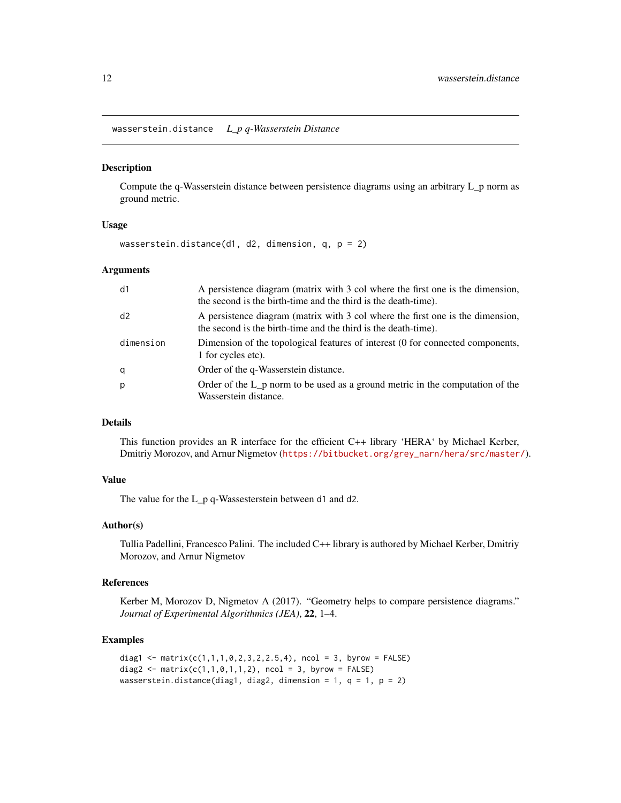<span id="page-11-0"></span>wasserstein.distance *L\_p q-Wasserstein Distance*

#### Description

Compute the q-Wasserstein distance between persistence diagrams using an arbitrary L\_p norm as ground metric.

#### Usage

wasserstein.distance(d1, d2, dimension, q, p = 2)

#### Arguments

| d1        | A persistence diagram (matrix with 3 col where the first one is the dimension,<br>the second is the birth-time and the third is the death-time). |
|-----------|--------------------------------------------------------------------------------------------------------------------------------------------------|
| d2        | A persistence diagram (matrix with 3 col where the first one is the dimension,<br>the second is the birth-time and the third is the death-time). |
| dimension | Dimension of the topological features of interest (0 for connected components,<br>1 for cycles etc).                                             |
| q         | Order of the q-Wasserstein distance.                                                                                                             |
| р         | Order of the L p norm to be used as a ground metric in the computation of the<br>Wasserstein distance.                                           |

#### Details

This function provides an R interface for the efficient C++ library 'HERA' by Michael Kerber, Dmitriy Morozov, and Arnur Nigmetov ([https://bitbucket.org/grey\\_narn/hera/src/master/](https://bitbucket.org/grey_narn/hera/src/master/)).

#### Value

The value for the L\_p q-Wassesterstein between d1 and d2.

#### Author(s)

Tullia Padellini, Francesco Palini. The included C++ library is authored by Michael Kerber, Dmitriy Morozov, and Arnur Nigmetov

#### References

Kerber M, Morozov D, Nigmetov A (2017). "Geometry helps to compare persistence diagrams." *Journal of Experimental Algorithmics (JEA)*, 22, 1–4.

#### Examples

```
diag1 <- matrix(c(1,1,1,0,2,3,2,2.5,4), ncol = 3, byrow = FALSE)
diag2 <- matrix(c(1,1,0,1,1,2), ncol = 3, byrow = FALSE)
wasserstein.distance(diag1, diag2, dimension = 1, q = 1, p = 2)
```